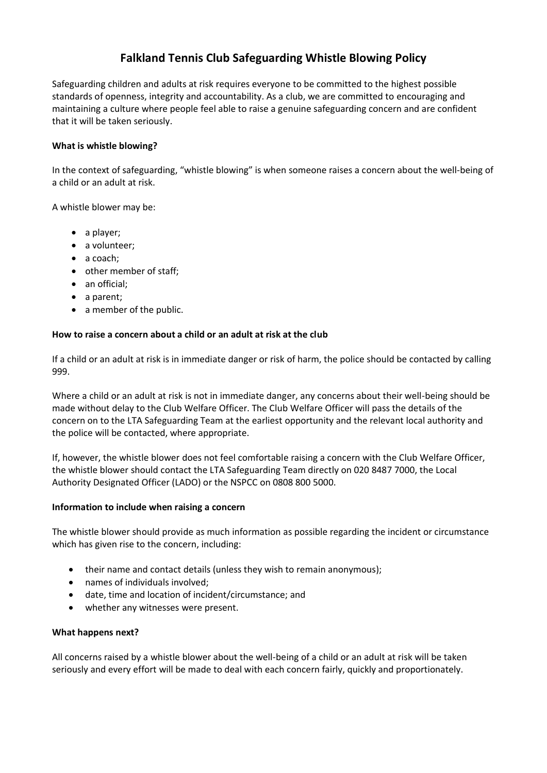# **Falkland Tennis Club Safeguarding Whistle Blowing Policy**

Safeguarding children and adults at risk requires everyone to be committed to the highest possible standards of openness, integrity and accountability. As a club, we are committed to encouraging and maintaining a culture where people feel able to raise a genuine safeguarding concern and are confident that it will be taken seriously.

## **What is whistle blowing?**

In the context of safeguarding, "whistle blowing" is when someone raises a concern about the well-being of a child or an adult at risk.

A whistle blower may be:

- a player;
- a volunteer;
- a coach;
- other member of staff;
- an official;
- a parent;
- a member of the public.

### **How to raise a concern about a child or an adult at risk at the club**

If a child or an adult at risk is in immediate danger or risk of harm, the police should be contacted by calling 999.

Where a child or an adult at risk is not in immediate danger, any concerns about their well-being should be made without delay to the Club Welfare Officer. The Club Welfare Officer will pass the details of the concern on to the LTA Safeguarding Team at the earliest opportunity and the relevant local authority and the police will be contacted, where appropriate.

If, however, the whistle blower does not feel comfortable raising a concern with the Club Welfare Officer, the whistle blower should contact the LTA Safeguarding Team directly on 020 8487 7000, the Local Authority Designated Officer (LADO) or the NSPCC on 0808 800 5000.

### **Information to include when raising a concern**

The whistle blower should provide as much information as possible regarding the incident or circumstance which has given rise to the concern, including:

- their name and contact details (unless they wish to remain anonymous);
- names of individuals involved;
- date, time and location of incident/circumstance; and
- whether any witnesses were present.

### **What happens next?**

All concerns raised by a whistle blower about the well-being of a child or an adult at risk will be taken seriously and every effort will be made to deal with each concern fairly, quickly and proportionately.